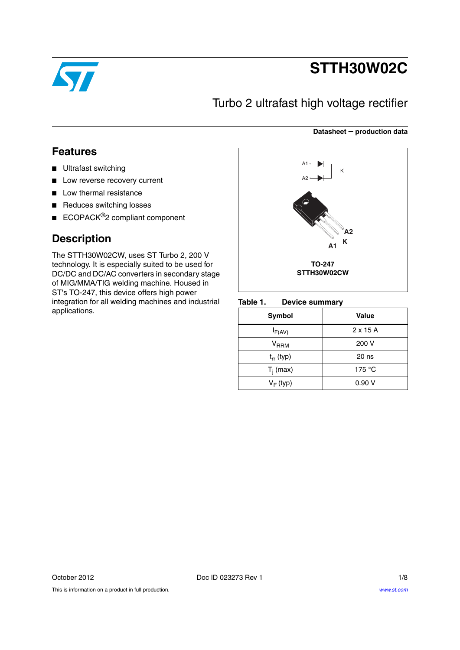

# **STTH30W02C**

## Turbo 2 ultrafast high voltage rectifier

### **Datasheet production data**

## **Features**

- Ultrafast switching
- Low reverse recovery current
- Low thermal resistance
- Reduces switching losses
- ECOPACK<sup>®</sup>2 compliant component

## **Description**

The STTH30W02CW, uses ST Turbo 2, 200 V technology. It is especially suited to be used for DC/DC and DC/AC converters in secondary stage of MIG/MMA/TIG welding machine. Housed in ST's TO-247, this device offers high power integration for all welding machines and industrial applications.



#### Table 1. **Device summary**

| Symbol                 | Value            |
|------------------------|------------------|
| $I_{F(AV)}$            | $2 \times 15$ A  |
| <b>V<sub>RRM</sub></b> | 200 V            |
| $t_{rr}$ (typ)         | 20 <sub>ns</sub> |
| $T_i$ (max)            | 175 $\degree$ C  |
| $V_F$ (typ)            | 0.90V            |

This is information on a product in full production.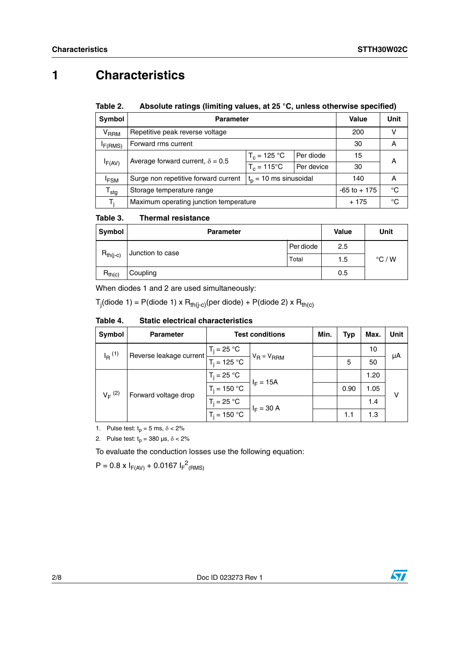## **1 Characteristics**

#### Table 2. Absolute ratings (limiting values, at 25 °C, unless otherwise specified)

| Symbol                                            | <b>Parameter</b>                       |                 | Value     | Unit |   |  |
|---------------------------------------------------|----------------------------------------|-----------------|-----------|------|---|--|
| <b>V<sub>RRM</sub></b>                            | Repetitive peak reverse voltage        |                 | 200       |      |   |  |
| I <sub>F(RMS)</sub>                               | Forward rms current                    | 30              | А         |      |   |  |
|                                                   |                                        | $T_c = 125 °C$  | Per diode | 15   | А |  |
| Average forward current, $\delta = 0.5$<br>IF(AV) | $T_c = 115^{\circ}$ C                  | Per device      | 30        |      |   |  |
| <sup>I</sup> FSM                                  | Surge non repetitive forward current   | 140             | A         |      |   |  |
| ${\sf T}_{\sf stg}$                               | Storage temperature range              | $-65$ to $+175$ | °C        |      |   |  |
| T.                                                | Maximum operating junction temperature |                 | $+175$    | °C   |   |  |

#### Table 3. **Thermal resistance**

| Symbol        | <b>Parameter</b> | <b>Value</b> | Unit |                 |
|---------------|------------------|--------------|------|-----------------|
|               | Junction to case | Per diode    | 2.5  |                 |
| $R_{th(j-c)}$ | Total            |              | 1.5  | $\degree$ C / W |
| $R_{th(c)}$   | Coupling         |              | 0.5  |                 |

When diodes 1 and 2 are used simultaneously:

T<sub>j</sub>(diode 1) = P(diode 1) x R<sub>th(j-c)</sub>(per diode) + P(diode 2) x R<sub>th(c)</sub>

#### Table 4. **Static electrical characteristics**

| Symbol                                          | <b>Parameter</b> | <b>Test conditions</b> | Min.         | <b>Typ</b> | Max. | Unit |  |
|-------------------------------------------------|------------------|------------------------|--------------|------------|------|------|--|
| $I_R$ <sup>(1)</sup><br>Reverse leakage current |                  | $T_i = 25 °C$          |              |            |      | 10   |  |
|                                                 | $T_i = 125 °C$   | $V_R = V_{RRM}$        |              | 5          | 50   | μA   |  |
|                                                 |                  | $T_i = 25 °C$          | $I_F = 15A$  |            |      | 1.20 |  |
| $V_F^{(2)}$<br>Forward voltage drop             | $T_i = 150 °C$   |                        |              | 0.90       | 1.05 | ν    |  |
|                                                 |                  | $T_i = 25 °C$          | $I_F = 30 A$ |            |      | 1.4  |  |
|                                                 |                  | $T_i = 150 °C$         |              |            | 1.1  | 1.3  |  |

1. Pulse test:  $t_p = 5$  ms,  $\delta < 2\%$ 

2. Pulse test:  $t_p = 380 \text{ }\mu\text{s}, \delta < 2\%$ 

To evaluate the conduction losses use the following equation:

 $P = 0.8 \times I_{F(AV)} + 0.0167 I_{F}^{2}$ <sub>(RMS)</sub>

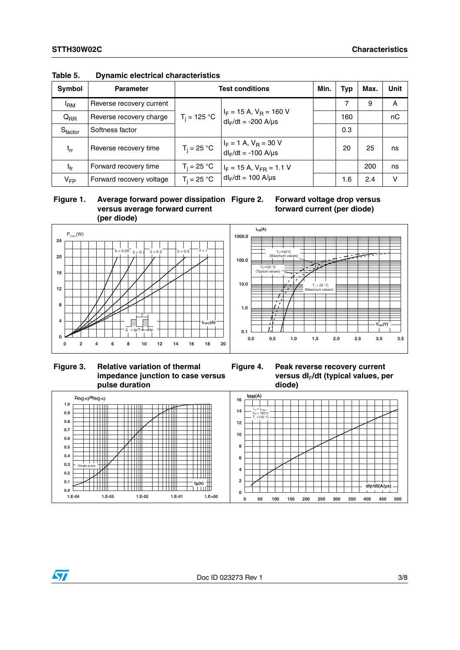| <b>Symbol</b>       | <b>Parameter</b>         | <b>Test conditions</b>                          |                                                            |  | <b>Typ</b> | Max. | <b>Unit</b> |
|---------------------|--------------------------|-------------------------------------------------|------------------------------------------------------------|--|------------|------|-------------|
| <sup>I</sup> RM     | Reverse recovery current |                                                 |                                                            |  |            | 9    | A           |
| $Q_{RR}$            | Reverse recovery charge  | $T_i = 125 °C$                                  | $I_F$ = 15 A, $V_R$ = 160 V<br>$dl_F/dt = -200$ A/ $\mu s$ |  | 160        |      | nC          |
| $S_{\text{factor}}$ | Softness factor          |                                                 |                                                            |  | 0.3        |      |             |
| $t_{rr}$            | Reverse recovery time    | $T_i = 25 °C$                                   | $I_F = 1$ A, $V_R = 30$ V<br>$dl_F/dt = -100$ A/ $\mu s$   |  | 20         | 25   | ns          |
| $t_{fr}$            | Forward recovery time    | $T_i = 25 °C$<br>$I_F = 15$ A, $V_{FR} = 1.1$ V |                                                            |  |            | 200  | ns          |
| $V_{FP}$            | Forward recovery voltage | $T_i = 25 °C$                                   | $dl_F/dt = 100$ A/ $\mu s$                                 |  | 1.6        | 2.4  | v           |

**Table 5. Dynamic electrical characteristics**







**Figure 3. Relative variation of thermal impedance junction to case versus pulse duration**



**versus dI**F**/dt (typical values, per** 

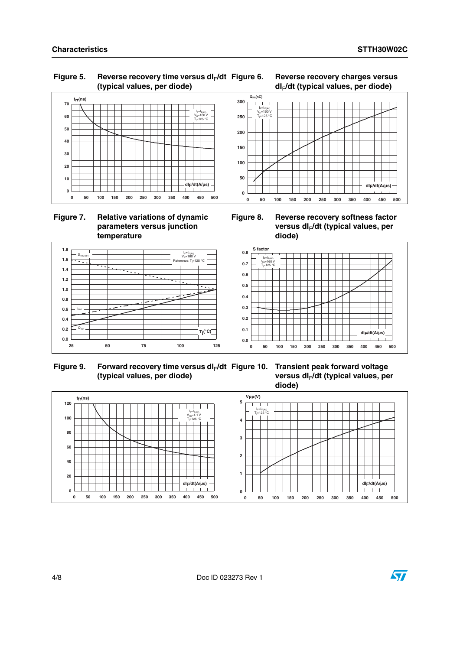**dIF/dt(A/µs)**

### Figure 5. Reverse recovery time versus dl<sub>F</sub>/dt **(typical values, per diode)**





### **Figure 7. Relative variations of dynamic parameters versus junction temperature**



**0 50 100 150 200 250 300 350 400 450 500**



**0**

**50 100 150**

**200 250 300** **QRR(nC)**

 $=160$ V<sub>R</sub>=160 V<br>T<sub>i</sub>=125 °C

Figure 9. Forward recovery time versus dl<sub>F</sub>/dt **(typical values, per diode)**





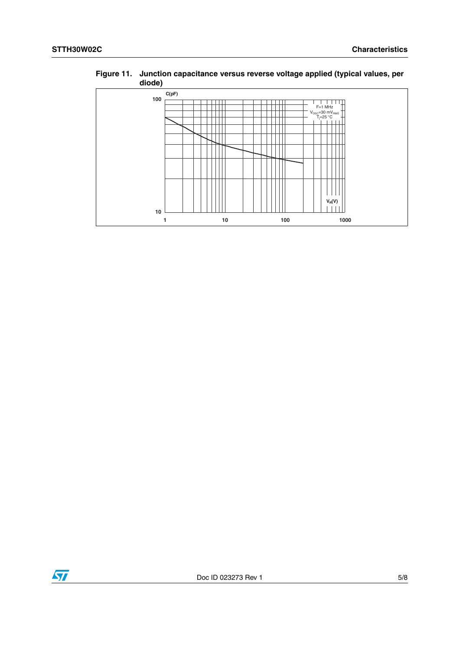| $u$ ivu $v$ |    |     |           |
|-------------|----|-----|-----------|
| C(pF)       |    |     |           |
| 100         |    |     |           |
|             |    |     | $F=1$ MHz |
|             |    |     |           |
|             |    |     |           |
|             |    |     |           |
|             |    |     |           |
|             |    |     |           |
|             |    |     |           |
|             |    |     |           |
|             |    |     |           |
|             |    |     |           |
|             |    |     |           |
|             |    |     |           |
|             |    |     | $V_R(V)$  |
| 10          |    |     |           |
| 1           | 10 | 100 | 1000      |

### **Figure 11. Junction capacitance versus reverse voltage applied (typical values, per diode)**

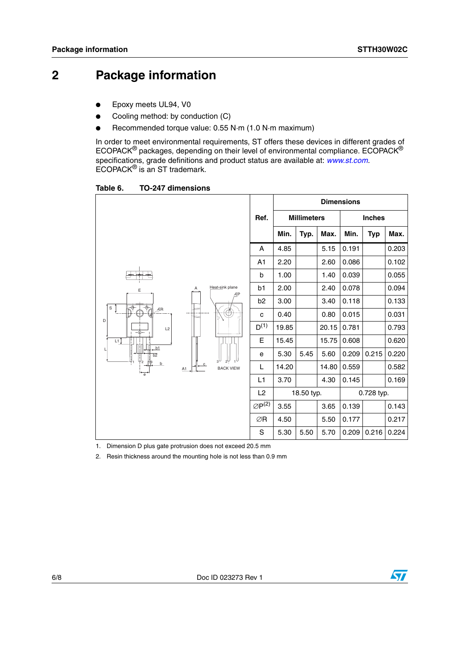## **2 Package information**

- Epoxy meets UL94, V0
- Cooling method: by conduction (C)
- Recommended torque value: 0.55 N·m (1.0 N·m maximum)

In order to meet environmental requirements, ST offers these devices in different grades of ECOPACK® packages, depending on their level of environmental compliance. ECOPACK® specifications, grade definitions and product status are available at: *[www.st.com](http://www.st.com).* ECOPACK® is an ST trademark.

Table 6. **Table 6. TO-247 dimensions**

|                                                                           |                    |                         | <b>Dimensions</b>     |                    |            |       |               |            |       |
|---------------------------------------------------------------------------|--------------------|-------------------------|-----------------------|--------------------|------------|-------|---------------|------------|-------|
|                                                                           |                    |                         | Ref.                  | <b>Millimeters</b> |            |       | <b>Inches</b> |            |       |
|                                                                           |                    |                         |                       | Min.               | Typ.       | Max.  | Min.          | <b>Typ</b> | Max.  |
| Heat-sink plane<br>Α<br>Ε<br>ÆP<br>के<br>$\overline{\Phi}$<br>$\mathbb S$ |                    | A                       | 4.85                  |                    | 5.15       | 0.191 |               | 0.203      |       |
|                                                                           |                    | A1                      | 2.20                  |                    | 2.60       | 0.086 |               | 0.102      |       |
|                                                                           | b                  | 1.00                    |                       | 1.40               | 0.039      |       | 0.055         |            |       |
|                                                                           | b1                 | 2.00                    |                       | 2.40               | 0.078      |       | 0.094         |            |       |
|                                                                           |                    | b <sub>2</sub>          | 3.00                  |                    | 3.40       | 0.118 |               | 0.133      |       |
| ÆR<br>D                                                                   |                    | $\overline{\Phi}$<br>Å) | с                     | 0.40               |            | 0.80  | 0.015         |            | 0.031 |
| L2<br>$-\bigoplus$ --                                                     |                    |                         | $D^{(1)}$             | 19.85              |            | 20.15 | 0.781         |            | 0.793 |
| L1 $\uparrow$<br>$-b1$                                                    |                    |                         | E                     | 15.45              |            | 15.75 | 0.608         |            | 0.620 |
| $\overline{b2}$                                                           |                    |                         | е                     | 5.30               | 5.45       | 5.60  | 0.209         | 0.215      | 0.220 |
| '2<br>b                                                                   | $\mathbf{C}$<br>A1 | <b>BACK VIEW</b>        | L                     | 14.20              |            | 14.80 | 0.559         |            | 0.582 |
| $\overline{e}$                                                            |                    |                         | L1                    | 3.70               |            | 4.30  | 0.145         |            | 0.169 |
|                                                                           |                    |                         | L2                    |                    | 18.50 typ. |       |               | 0.728 typ. |       |
|                                                                           |                    |                         | $\varnothing P^{(2)}$ | 3.55               |            | 3.65  | 0.139         |            | 0.143 |
|                                                                           |                    |                         | ∅R                    | 4.50               |            | 5.50  | 0.177         |            | 0.217 |
|                                                                           |                    |                         | S                     | 5.30               | 5.50       | 5.70  | 0.209         | 0.216      | 0.224 |

1. Dimension D plus gate protrusion does not exceed 20.5 mm

2. Resin thickness around the mounting hole is not less than 0.9 mm

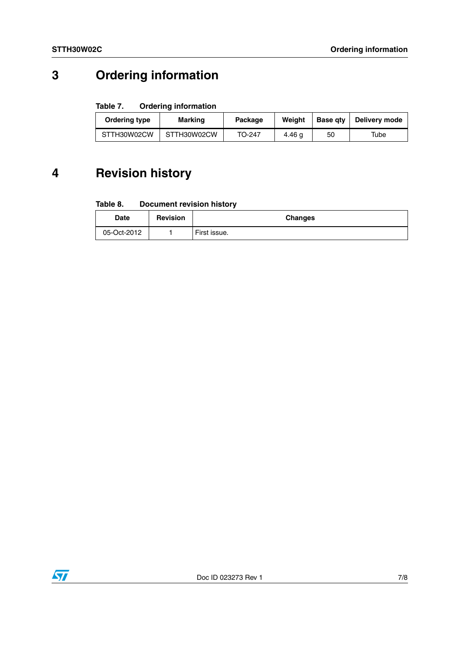## **3 Ordering information**

### Table 7. **Ordering information**

| Ordering type | Marking     | Package | Weiaht | <b>Base gtv</b> | Delivery mode |
|---------------|-------------|---------|--------|-----------------|---------------|
| STTH30W02CW   | STTH30W02CW | TO-247  | 4.46 g | 50              | Tube          |

## **4 Revision history**

#### Table 8. **Document revision history**

| <b>Date</b> | <b>Revision</b> | <b>Changes</b> |
|-------------|-----------------|----------------|
| 05-Oct-2012 |                 | First issue.   |